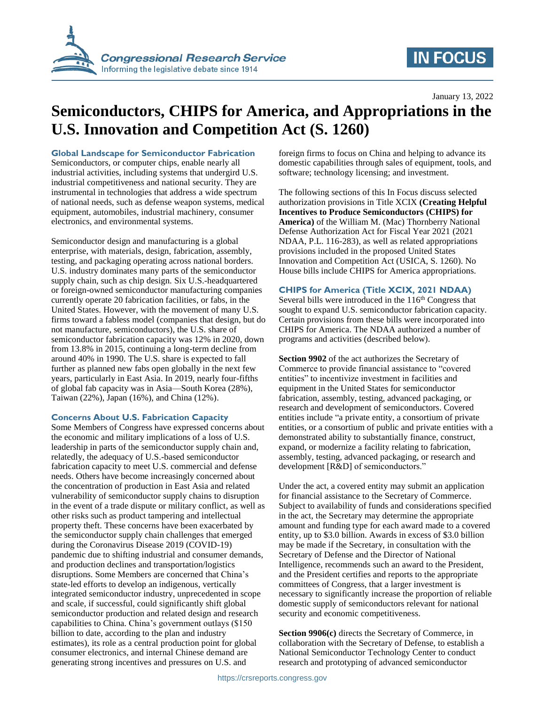

## **IN FOCUS**

January 13, 2022

# **Semiconductors, CHIPS for America, and Appropriations in the U.S. Innovation and Competition Act (S. 1260)**

**Global Landscape for Semiconductor Fabrication**

Semiconductors, or computer chips, enable nearly all industrial activities, including systems that undergird U.S. industrial competitiveness and national security. They are instrumental in technologies that address a wide spectrum of national needs, such as defense weapon systems, medical equipment, automobiles, industrial machinery, consumer electronics, and environmental systems.

Semiconductor design and manufacturing is a global enterprise, with materials, design, fabrication, assembly, testing, and packaging operating across national borders. U.S. industry dominates many parts of the semiconductor supply chain, such as chip design. Six U.S.-headquartered or foreign-owned semiconductor manufacturing companies currently operate 20 fabrication facilities, or fabs, in the United States. However, with the movement of many U.S. firms toward a fabless model (companies that design, but do not manufacture, semiconductors), the U.S. share of semiconductor fabrication capacity was 12% in 2020, down from 13.8% in 2015, continuing a long-term decline from around 40% in 1990. The U.S. share is expected to fall further as planned new fabs open globally in the next few years, particularly in East Asia. In 2019, nearly four-fifths of global fab capacity was in Asia—South Korea (28%), Taiwan (22%), Japan (16%), and China (12%).

#### **Concerns About U.S. Fabrication Capacity**

Some Members of Congress have expressed concerns about the economic and military implications of a loss of U.S. leadership in parts of the semiconductor supply chain and, relatedly, the adequacy of U.S.-based semiconductor fabrication capacity to meet U.S. commercial and defense needs. Others have become increasingly concerned about the concentration of production in East Asia and related vulnerability of semiconductor supply chains to disruption in the event of a trade dispute or military conflict, as well as other risks such as product tampering and intellectual property theft. These concerns have been exacerbated by the semiconductor supply chain challenges that emerged during the Coronavirus Disease 2019 (COVID-19) pandemic due to shifting industrial and consumer demands, and production declines and transportation/logistics disruptions. Some Members are concerned that China's state-led efforts to develop an indigenous, vertically integrated semiconductor industry, unprecedented in scope and scale, if successful, could significantly shift global semiconductor production and related design and research capabilities to China. China's government outlays (\$150 billion to date, according to the plan and industry estimates), its role as a central production point for global consumer electronics, and internal Chinese demand are generating strong incentives and pressures on U.S. and

foreign firms to focus on China and helping to advance its domestic capabilities through sales of equipment, tools, and software; technology licensing; and investment.

The following sections of this In Focus discuss selected authorization provisions in Title XCIX **(Creating Helpful Incentives to Produce Semiconductors (CHIPS) for America)** of the William M. (Mac) Thornberry National Defense Authorization Act for Fiscal Year 2021 (2021 NDAA, P.L. 116-283), as well as related appropriations provisions included in the proposed United States Innovation and Competition Act (USICA, S. 1260). No House bills include CHIPS for America appropriations.

#### **CHIPS for America (Title XCIX, 2021 NDAA)**

Several bills were introduced in the  $116<sup>th</sup>$  Congress that sought to expand U.S. semiconductor fabrication capacity. Certain provisions from these bills were incorporated into CHIPS for America. The NDAA authorized a number of programs and activities (described below).

**Section 9902** of the act authorizes the Secretary of Commerce to provide financial assistance to "covered entities" to incentivize investment in facilities and equipment in the United States for semiconductor fabrication, assembly, testing, advanced packaging, or research and development of semiconductors. Covered entities include "a private entity, a consortium of private entities, or a consortium of public and private entities with a demonstrated ability to substantially finance, construct, expand, or modernize a facility relating to fabrication, assembly, testing, advanced packaging, or research and development [R&D] of semiconductors."

Under the act, a covered entity may submit an application for financial assistance to the Secretary of Commerce. Subject to availability of funds and considerations specified in the act, the Secretary may determine the appropriate amount and funding type for each award made to a covered entity, up to \$3.0 billion. Awards in excess of \$3.0 billion may be made if the Secretary, in consultation with the Secretary of Defense and the Director of National Intelligence, recommends such an award to the President, and the President certifies and reports to the appropriate committees of Congress, that a larger investment is necessary to significantly increase the proportion of reliable domestic supply of semiconductors relevant for national security and economic competitiveness.

**Section 9906(c)** directs the Secretary of Commerce, in collaboration with the Secretary of Defense, to establish a National Semiconductor Technology Center to conduct research and prototyping of advanced semiconductor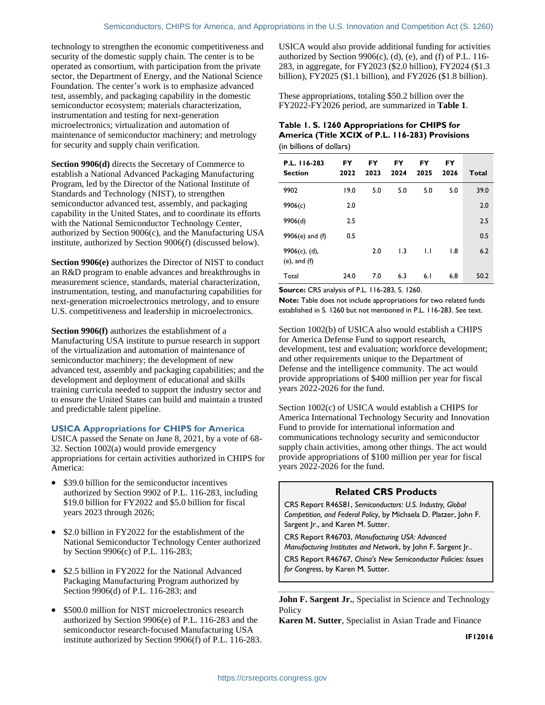(e), and (f)

technology to strengthen the economic competitiveness and security of the domestic supply chain. The center is to be operated as consortium, with participation from the private sector, the Department of Energy, and the National Science Foundation. The center's work is to emphasize advanced test, assembly, and packaging capability in the domestic semiconductor ecosystem; materials characterization, instrumentation and testing for next-generation microelectronics; virtualization and automation of maintenance of semiconductor machinery; and metrology for security and supply chain verification.

**Section 9906(d)** directs the Secretary of Commerce to establish a National Advanced Packaging Manufacturing Program, led by the Director of the National Institute of Standards and Technology (NIST), to strengthen semiconductor advanced test, assembly, and packaging capability in the United States, and to coordinate its efforts with the National Semiconductor Technology Center, authorized by Section 9006(c), and the Manufacturing USA institute, authorized by Section 9006(f) (discussed below).

**Section 9906(e)** authorizes the Director of NIST to conduct an R&D program to enable advances and breakthroughs in measurement science, standards, material characterization, instrumentation, testing, and manufacturing capabilities for next-generation microelectronics metrology, and to ensure U.S. competitiveness and leadership in microelectronics.

**Section 9906(f)** authorizes the establishment of a Manufacturing USA institute to pursue research in support of the virtualization and automation of maintenance of semiconductor machinery; the development of new advanced test, assembly and packaging capabilities; and the development and deployment of educational and skills training curricula needed to support the industry sector and to ensure the United States can build and maintain a trusted and predictable talent pipeline.

#### **USICA Appropriations for CHIPS for America**

USICA passed the Senate on June 8, 2021, by a vote of 68- 32. Section 1002(a) would provide emergency appropriations for certain activities authorized in CHIPS for America:

- \$39.0 billion for the semiconductor incentives authorized by Section 9902 of P.L. 116-283, including \$19.0 billion for FY2022 and \$5.0 billion for fiscal years 2023 through 2026;
- \$2.0 billion in FY2022 for the establishment of the National Semiconductor Technology Center authorized by Section 9906(c) of P.L. 116-283;
- \$2.5 billion in FY2022 for the National Advanced Packaging Manufacturing Program authorized by Section 9906(d) of P.L. 116-283; and
- \$500.0 million for NIST microelectronics research authorized by Section 9906(e) of P.L. 116-283 and the semiconductor research-focused Manufacturing USA institute authorized by Section 9906(f) of P.L. 116-283.

USICA would also provide additional funding for activities authorized by Section  $9906(c)$ , (d), (e), and (f) of P.L. 116-283, in aggregate, for FY2023 (\$2.0 billion), FY2024 (\$1.3 billion), FY2025 (\$1.1 billion), and FY2026 (\$1.8 billion).

These appropriations, totaling \$50.2 billion over the FY2022-FY2026 period, are summarized in **[Table 1](#page-1-0)**.

#### <span id="page-1-0"></span>**Table 1. S. 1260 Appropriations for CHIPS for America (Title XCIX of P.L. 116-283) Provisions** (in billions of dollars)

| P.L. 116-283<br><b>Section</b> | <b>FY</b><br>2022 | FY<br>2023 | FY<br>2024 | FY<br>2025 | FY<br>2026 | <b>Total</b> |
|--------------------------------|-------------------|------------|------------|------------|------------|--------------|
| 9902                           | 19.0              | 5.0        | 5.0        | 5.0        | 5.0        | 39.0         |
| 9906(c)                        | 2.0               |            |            |            |            | 2.0          |
| 9906(d)                        | 2.5               |            |            |            |            | 2.5          |
| $9906(e)$ and (f)              | 0.5               |            |            |            |            | 0.5          |
| $9906(c)$ , (d),               |                   | 2.0        | 1.3        | IJ         | 1.8        | 6.2          |

**Source:** CRS analysis of P.L. 116-283, S. 1260.

**Note:** Table does not include appropriations for two related funds established in S. 1260 but not mentioned in P.L. 116-283. See text.

Total 24.0 7.0 6.3 6.1 6.8 50.2

Section 1002(b) of USICA also would establish a CHIPS for America Defense Fund to support research, development, test and evaluation; workforce development; and other requirements unique to the Department of Defense and the intelligence community. The act would provide appropriations of \$400 million per year for fiscal years 2022-2026 for the fund.

Section 1002(c) of USICA would establish a CHIPS for America International Technology Security and Innovation Fund to provide for international information and communications technology security and semiconductor supply chain activities, among other things. The act would provide appropriations of \$100 million per year for fiscal years 2022-2026 for the fund.

### **Related CRS Products**

CRS Report R46581, *Semiconductors: U.S. Industry, Global Competition, and Federal Policy*, by Michaela D. Platzer, John F. Sargent Jr., and Karen M. Sutter.

CRS Report R46703, *Manufacturing USA: Advanced Manufacturing Institutes and Network*, by John F. Sargent Jr..

CRS Report R46767, *China's New Semiconductor Policies: Issues for Congress*, by Karen M. Sutter.

**John F. Sargent Jr.**, Specialist in Science and Technology **Policy** 

**Karen M. Sutter**, Specialist in Asian Trade and Finance